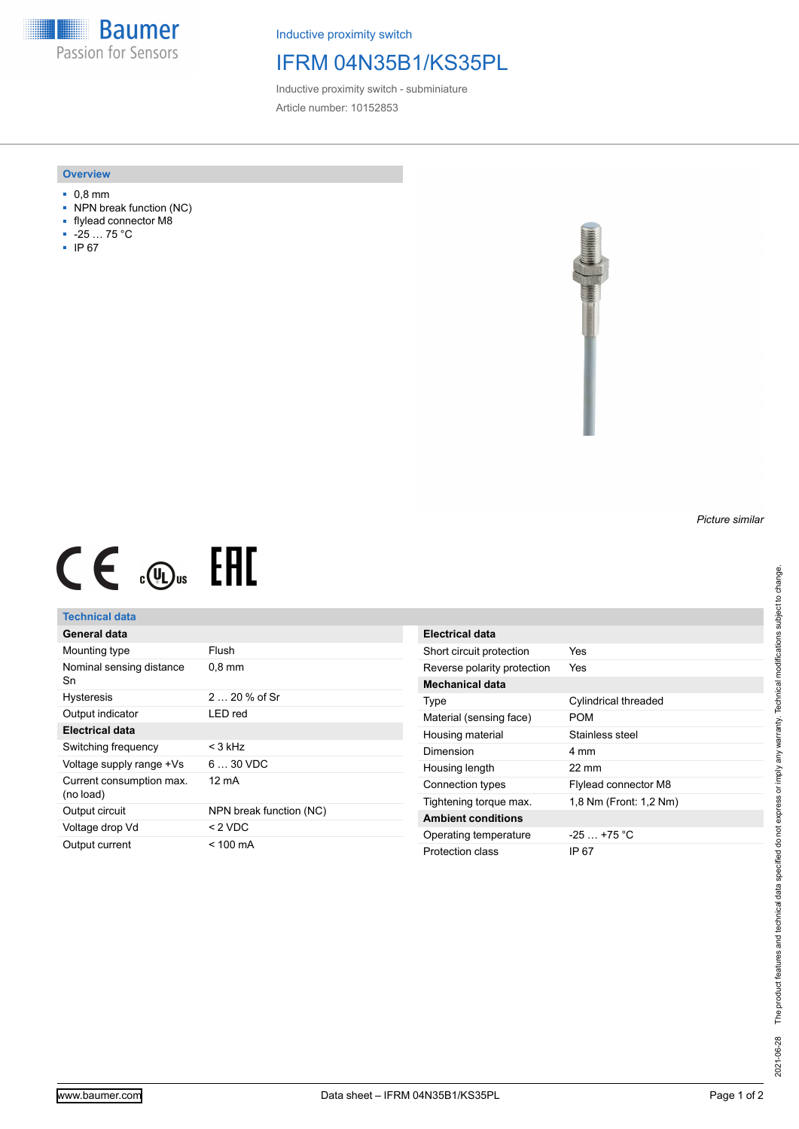**Baumer** Passion for Sensors

Inductive proximity switch

## IFRM 04N35B1/KS35PL

Inductive proximity switch - subminiature Article number: 10152853

#### **Overview**

- 0,8 mm
- NPN break function (NC)
- flylead connector M8
- -25 … 75 °C
- IP 67



# $CE \mathcal{L}$  (Dus FRE

### **Technical data**

| General data                          |                         |
|---------------------------------------|-------------------------|
| Mounting type                         | Flush                   |
| Nominal sensing distance<br>Sn        | $0.8 \text{ mm}$        |
| <b>Hysteresis</b>                     | $220%$ of Sr            |
| Output indicator                      | LED red                 |
| Electrical data                       |                         |
| Switching frequency                   | < 3 kHz                 |
| Voltage supply range +Vs              | $630$ VDC               |
| Current consumption max.<br>(no load) | 12 mA                   |
| Output circuit                        | NPN break function (NC) |
| Voltage drop Vd                       | < 2 VDC                 |
| Output current                        | $< 100 \text{ mA}$      |

| Electrical data             |                        |
|-----------------------------|------------------------|
| Short circuit protection    | Yes                    |
| Reverse polarity protection | Yes                    |
| Mechanical data             |                        |
| Type                        | Cylindrical threaded   |
| Material (sensing face)     | POM                    |
| Housing material            | Stainless steel        |
| Dimension                   | 4 mm                   |
| Housing length              | 22 mm                  |
| Connection types            | Flylead connector M8   |
| Tightening torque max.      | 1.8 Nm (Front: 1.2 Nm) |
| <b>Ambient conditions</b>   |                        |
| Operating temperature       | $-25$ $+75$ °C         |
| Protection class            | IP 67                  |